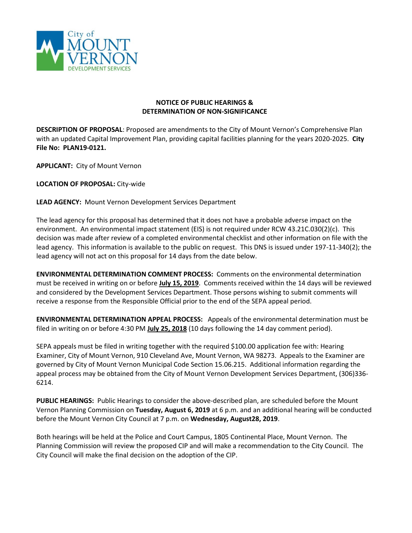

## **NOTICE OF PUBLIC HEARINGS & DETERMINATION OF NON-SIGNIFICANCE**

**DESCRIPTION OF PROPOSAL**: Proposed are amendments to the City of Mount Vernon's Comprehensive Plan with an updated Capital Improvement Plan, providing capital facilities planning for the years 2020-2025. **City File No: PLAN19-0121.**

**APPLICANT:** City of Mount Vernon

**LOCATION OF PROPOSAL:** City-wide

**LEAD AGENCY:** Mount Vernon Development Services Department

The lead agency for this proposal has determined that it does not have a probable adverse impact on the environment. An environmental impact statement (EIS) is not required under RCW 43.21C.030(2)(c). This decision was made after review of a completed environmental checklist and other information on file with the lead agency. This information is available to the public on request. This DNS is issued under 197-11-340(2); the lead agency will not act on this proposal for 14 days from the date below.

**ENVIRONMENTAL DETERMINATION COMMENT PROCESS:** Comments on the environmental determination must be received in writing on or before **July 15, 2019**. Comments received within the 14 days will be reviewed and considered by the Development Services Department. Those persons wishing to submit comments will receive a response from the Responsible Official prior to the end of the SEPA appeal period.

**ENVIRONMENTAL DETERMINATION APPEAL PROCESS:** Appeals of the environmental determination must be filed in writing on or before 4:30 PM **July 25, 2018** (10 days following the 14 day comment period).

SEPA appeals must be filed in writing together with the required \$100.00 application fee with: Hearing Examiner, City of Mount Vernon, 910 Cleveland Ave, Mount Vernon, WA 98273. Appeals to the Examiner are governed by City of Mount Vernon Municipal Code Section 15.06.215. Additional information regarding the appeal process may be obtained from the City of Mount Vernon Development Services Department, (306)336- 6214.

**PUBLIC HEARINGS:** Public Hearings to consider the above-described plan, are scheduled before the Mount Vernon Planning Commission on **Tuesday, August 6, 2019** at 6 p.m. and an additional hearing will be conducted before the Mount Vernon City Council at 7 p.m. on **Wednesday, August28, 2019**.

Both hearings will be held at the Police and Court Campus, 1805 Continental Place, Mount Vernon. The Planning Commission will review the proposed CIP and will make a recommendation to the City Council. The City Council will make the final decision on the adoption of the CIP.